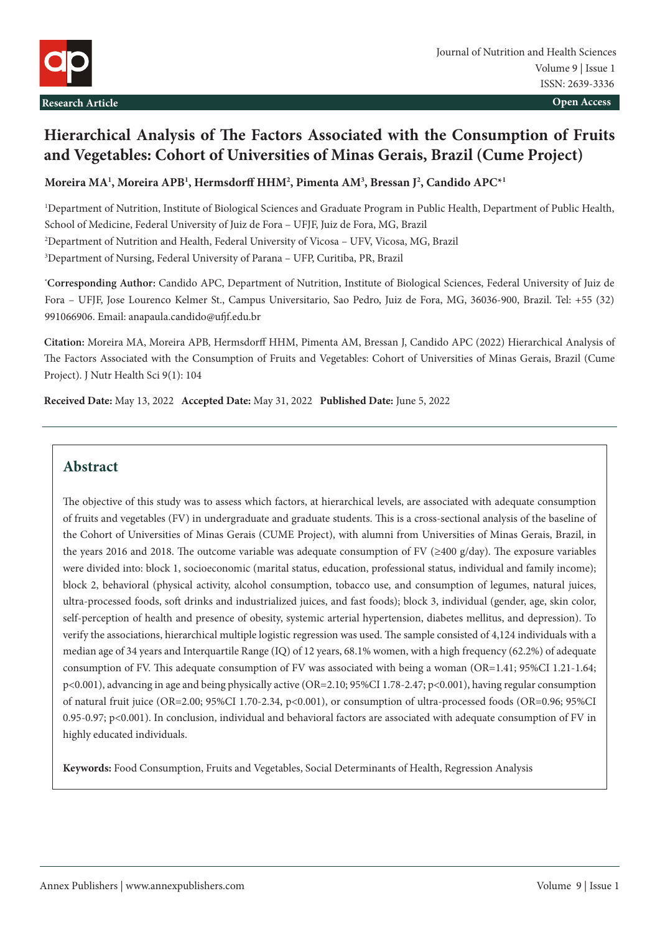

# **Hierarchical Analysis of The Factors Associated with the Consumption of Fruits and Vegetables: Cohort of Universities of Minas Gerais, Brazil (Cume Project)**

**Moreira MA1 , Moreira APB1 , Hermsdorff HHM2 , Pimenta AM3 , Bressan J2 , Candido APC\*1**

 Department of Nutrition, Institute of Biological Sciences and Graduate Program in Public Health, Department of Public Health, School of Medicine, Federal University of Juiz de Fora – UFJF, Juiz de Fora, MG, Brazil Department of Nutrition and Health, Federal University of Vicosa – UFV, Vicosa, MG, Brazil Department of Nursing, Federal University of Parana – UFP, Curitiba, PR, Brazil

**\* Corresponding Author:** Candido APC, Department of Nutrition, Institute of Biological Sciences, Federal University of Juiz de Fora – UFJF, Jose Lourenco Kelmer St., Campus Universitario, Sao Pedro, Juiz de Fora, MG, 36036-900, Brazil. Tel: +55 (32) 991066906. Email: [anapaula.candido@ufjf.edu.br](mailto:anapaula.candido@ufjf.edu.br)

**Citation:** Moreira MA, Moreira APB, Hermsdorff HHM, Pimenta AM, Bressan J, Candido APC (2022) Hierarchical Analysis of The Factors Associated with the Consumption of Fruits and Vegetables: Cohort of Universities of Minas Gerais, Brazil (Cume Project). J Nutr Health Sci 9(1): 104

**Received Date:** May 13, 2022 **Accepted Date:** May 31, 2022 **Published Date:** June 5, 2022

## **Abstract**

The objective of this study was to assess which factors, at hierarchical levels, are associated with adequate consumption of fruits and vegetables (FV) in undergraduate and graduate students. This is a cross-sectional analysis of the baseline of the Cohort of Universities of Minas Gerais (CUME Project), with alumni from Universities of Minas Gerais, Brazil, in the years 2016 and 2018. The outcome variable was adequate consumption of FV ( $\geq 400$  g/day). The exposure variables were divided into: block 1, socioeconomic (marital status, education, professional status, individual and family income); block 2, behavioral (physical activity, alcohol consumption, tobacco use, and consumption of legumes, natural juices, ultra-processed foods, soft drinks and industrialized juices, and fast foods); block 3, individual (gender, age, skin color, self-perception of health and presence of obesity, systemic arterial hypertension, diabetes mellitus, and depression). To verify the associations, hierarchical multiple logistic regression was used. The sample consisted of 4,124 individuals with a median age of 34 years and Interquartile Range (IQ) of 12 years, 68.1% women, with a high frequency (62.2%) of adequate consumption of FV. This adequate consumption of FV was associated with being a woman (OR=1.41; 95%CI 1.21-1.64; p<0.001), advancing in age and being physically active (OR=2.10; 95%CI 1.78-2.47; p<0.001), having regular consumption of natural fruit juice (OR=2.00; 95%CI 1.70-2.34, p<0.001), or consumption of ultra-processed foods (OR=0.96; 95%CI 0.95-0.97; p<0.001). In conclusion, individual and behavioral factors are associated with adequate consumption of FV in highly educated individuals.

**Keywords:** Food Consumption, Fruits and Vegetables, Social Determinants of Health, Regression Analysis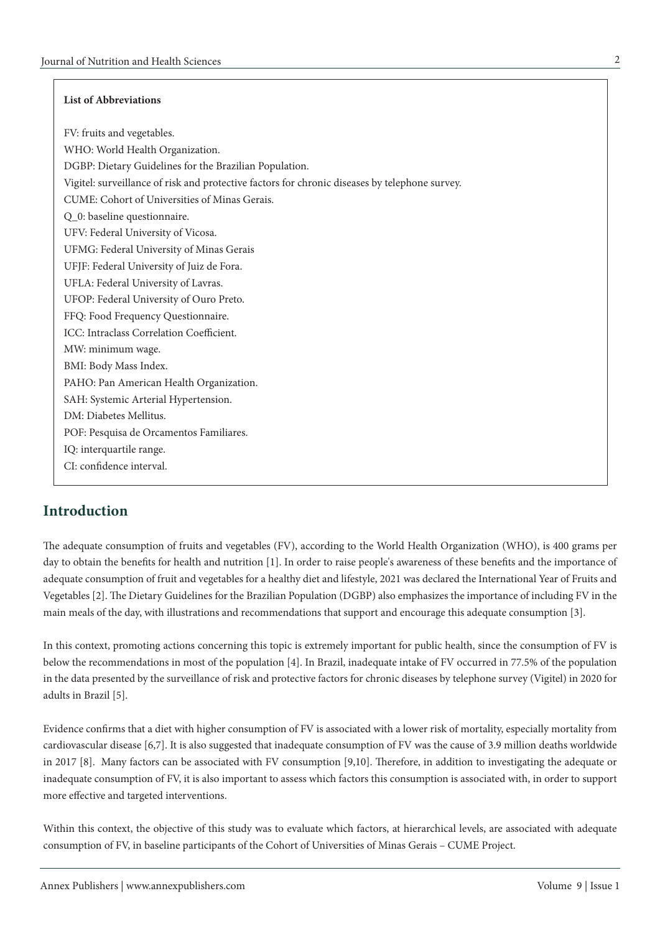#### **List of Abbreviations**

FV: fruits and vegetables. WHO: World Health Organization. DGBP: Dietary Guidelines for the Brazilian Population. Vigitel: surveillance of risk and protective factors for chronic diseases by telephone survey. CUME: Cohort of Universities of Minas Gerais. Q\_0: baseline questionnaire. UFV: Federal University of Vicosa. UFMG: Federal University of Minas Gerais UFJF: Federal University of Juiz de Fora. UFLA: Federal University of Lavras. UFOP: Federal University of Ouro Preto. FFQ: Food Frequency Questionnaire. ICC: Intraclass Correlation Coefficient. MW: minimum wage. BMI: Body Mass Index. PAHO: Pan American Health Organization. SAH: Systemic Arterial Hypertension. DM: Diabetes Mellitus. POF: Pesquisa de Orcamentos Familiares. IQ: interquartile range. CI: confidence interval.

## **Introduction**

The adequate consumption of fruits and vegetables (FV), according to the World Health Organization (WHO), is 400 grams per day to obtain the benefits for health and nutrition [1]. In order to raise people's awareness of these benefits and the importance of adequate consumption of fruit and vegetables for a healthy diet and lifestyle, 2021 was declared the International Year of Fruits and Vegetables [2]. The Dietary Guidelines for the Brazilian Population (DGBP) also emphasizes the importance of including FV in the main meals of the day, with illustrations and recommendations that support and encourage this adequate consumption [3].

In this context, promoting actions concerning this topic is extremely important for public health, since the consumption of FV is below the recommendations in most of the population [4]. In Brazil, inadequate intake of FV occurred in 77.5% of the population in the data presented by the surveillance of risk and protective factors for chronic diseases by telephone survey (Vigitel) in 2020 for adults in Brazil [5].

Evidence confirms that a diet with higher consumption of FV is associated with a lower risk of mortality, especially mortality from cardiovascular disease [6,7]. It is also suggested that inadequate consumption of FV was the cause of 3.9 million deaths worldwide in 2017 [8]. Many factors can be associated with FV consumption [9,10]. Therefore, in addition to investigating the adequate or inadequate consumption of FV, it is also important to assess which factors this consumption is associated with, in order to support more effective and targeted interventions.

Within this context, the objective of this study was to evaluate which factors, at hierarchical levels, are associated with adequate consumption of FV, in baseline participants of the Cohort of Universities of Minas Gerais – CUME Project.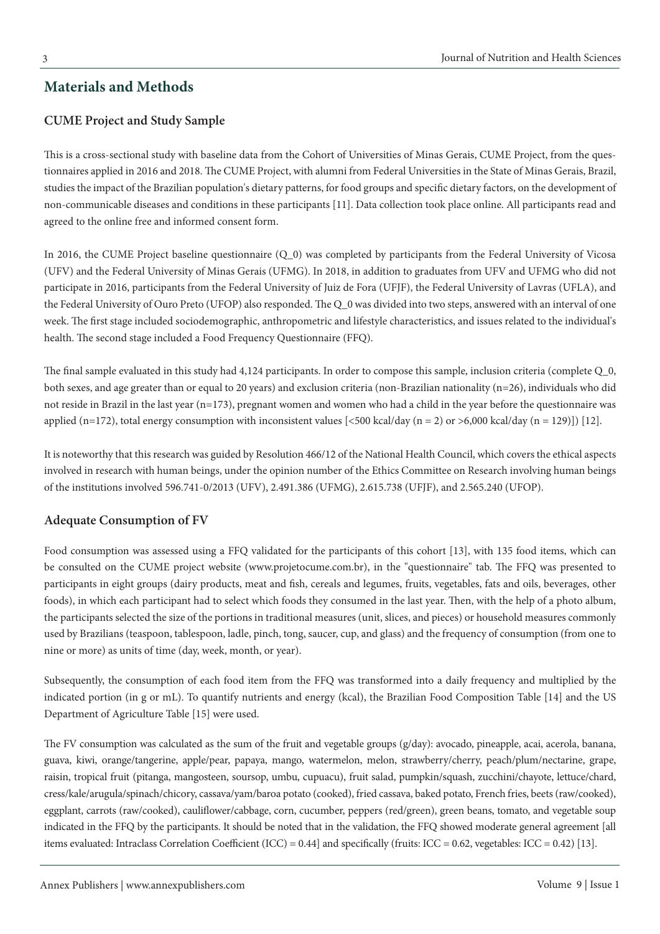### **Materials and Methods**

### **CUME Project and Study Sample**

This is a cross-sectional study with baseline data from the Cohort of Universities of Minas Gerais, CUME Project, from the questionnaires applied in 2016 and 2018. The CUME Project, with alumni from Federal Universities in the State of Minas Gerais, Brazil, studies the impact of the Brazilian population's dietary patterns, for food groups and specific dietary factors, on the development of non-communicable diseases and conditions in these participants [11]. Data collection took place online. All participants read and agreed to the online free and informed consent form.

In 2016, the CUME Project baseline questionnaire (Q\_0) was completed by participants from the Federal University of Vicosa (UFV) and the Federal University of Minas Gerais (UFMG). In 2018, in addition to graduates from UFV and UFMG who did not participate in 2016, participants from the Federal University of Juiz de Fora (UFJF), the Federal University of Lavras (UFLA), and the Federal University of Ouro Preto (UFOP) also responded. The Q\_0 was divided into two steps, answered with an interval of one week. The first stage included sociodemographic, anthropometric and lifestyle characteristics, and issues related to the individual's health. The second stage included a Food Frequency Questionnaire (FFQ).

The final sample evaluated in this study had 4,124 participants. In order to compose this sample, inclusion criteria (complete Q 0, both sexes, and age greater than or equal to 20 years) and exclusion criteria (non-Brazilian nationality (n=26), individuals who did not reside in Brazil in the last year (n=173), pregnant women and women who had a child in the year before the questionnaire was applied (n=172), total energy consumption with inconsistent values  $\left[ \langle 500 \text{ kcal/day (n = 2) or } > 6,000 \text{ kcal/day (n = 129)} \right]$  [12].

It is noteworthy that this research was guided by Resolution 466/12 of the National Health Council, which covers the ethical aspects involved in research with human beings, under the opinion number of the Ethics Committee on Research involving human beings of the institutions involved 596.741-0/2013 (UFV), 2.491.386 (UFMG), 2.615.738 (UFJF), and 2.565.240 (UFOP).

### **Adequate Consumption of FV**

Food consumption was assessed using a FFQ validated for the participants of this cohort [13], with 135 food items, which can be consulted on the CUME project website (www.projetocume.com.br), in the "questionnaire" tab. The FFQ was presented to participants in eight groups (dairy products, meat and fish, cereals and legumes, fruits, vegetables, fats and oils, beverages, other foods), in which each participant had to select which foods they consumed in the last year. Then, with the help of a photo album, the participants selected the size of the portions in traditional measures (unit, slices, and pieces) or household measures commonly used by Brazilians (teaspoon, tablespoon, ladle, pinch, tong, saucer, cup, and glass) and the frequency of consumption (from one to nine or more) as units of time (day, week, month, or year).

Subsequently, the consumption of each food item from the FFQ was transformed into a daily frequency and multiplied by the indicated portion (in g or mL). To quantify nutrients and energy (kcal), the Brazilian Food Composition Table [14] and the US Department of Agriculture Table [15] were used.

The FV consumption was calculated as the sum of the fruit and vegetable groups (g/day): avocado, pineapple, acai, acerola, banana, guava, kiwi, orange/tangerine, apple/pear, papaya, mango, watermelon, melon, strawberry/cherry, peach/plum/nectarine, grape, raisin, tropical fruit (pitanga, mangosteen, soursop, umbu, cupuacu), fruit salad, pumpkin/squash, zucchini/chayote, lettuce/chard, cress/kale/arugula/spinach/chicory, cassava/yam/baroa potato (cooked), fried cassava, baked potato, French fries, beets (raw/cooked), eggplant, carrots (raw/cooked), cauliflower/cabbage, corn, cucumber, peppers (red/green), green beans, tomato, and vegetable soup indicated in the FFQ by the participants. It should be noted that in the validation, the FFQ showed moderate general agreement [all items evaluated: Intraclass Correlation Coefficient (ICC) = 0.44] and specifically (fruits: ICC = 0.62, vegetables: ICC = 0.42) [13].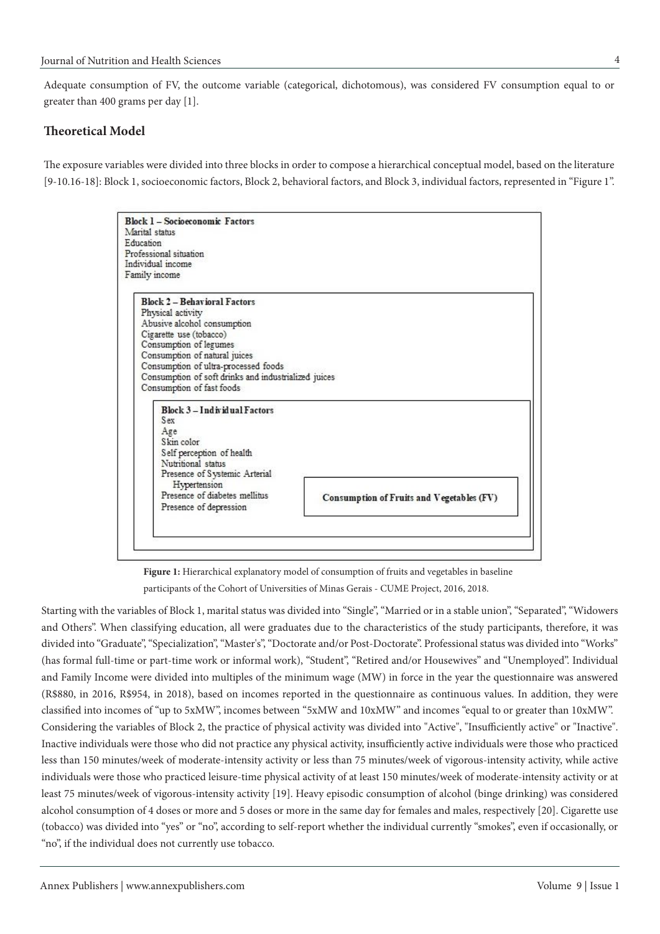Adequate consumption of FV, the outcome variable (categorical, dichotomous), was considered FV consumption equal to or greater than 400 grams per day [1].

#### **Theoretical Model**

The exposure variables were divided into three blocks in order to compose a hierarchical conceptual model, based on the literature [9-10.16-18]: Block 1, socioeconomic factors, Block 2, behavioral factors, and Block 3, individual factors, represented in "Figure 1".

| Education<br>Professional situation<br>Individual income                                                                                                                                                                                                                      |  |
|-------------------------------------------------------------------------------------------------------------------------------------------------------------------------------------------------------------------------------------------------------------------------------|--|
| Family income                                                                                                                                                                                                                                                                 |  |
| <b>Block 2 - Behavioral Factors</b><br>Physical activity<br>Abusive alcohol consumption<br>Cigarette use (tobacco)<br>Consumption of legumes<br>Consumption of natural juices<br>Consumption of ultra-processed foods<br>Consumption of soft drinks and industrialized juices |  |
| Consumption of fast foods<br>Block 3 - Individual Factors<br>Sex<br>Age<br>Skin color                                                                                                                                                                                         |  |
| Self perception of health<br>Nutritional status<br>Presence of Systemic Arterial                                                                                                                                                                                              |  |

**Figure 1:** Hierarchical explanatory model of consumption of fruits and vegetables in baseline participants of the Cohort of Universities of Minas Gerais - CUME Project, 2016, 2018.

Starting with the variables of Block 1, marital status was divided into "Single", "Married or in a stable union", "Separated", "Widowers and Others". When classifying education, all were graduates due to the characteristics of the study participants, therefore, it was divided into "Graduate", "Specialization", "Master's", "Doctorate and/or Post-Doctorate". Professional status was divided into "Works" (has formal full-time or part-time work or informal work), "Student", "Retired and/or Housewives" and "Unemployed". Individual and Family Income were divided into multiples of the minimum wage (MW) in force in the year the questionnaire was answered (R\$880, in 2016, R\$954, in 2018), based on incomes reported in the questionnaire as continuous values. In addition, they were classified into incomes of "up to 5xMW", incomes between "5xMW and 10xMW" and incomes "equal to or greater than 10xMW". Considering the variables of Block 2, the practice of physical activity was divided into "Active", "Insufficiently active" or "Inactive". Inactive individuals were those who did not practice any physical activity, insufficiently active individuals were those who practiced less than 150 minutes/week of moderate-intensity activity or less than 75 minutes/week of vigorous-intensity activity, while active individuals were those who practiced leisure-time physical activity of at least 150 minutes/week of moderate-intensity activity or at least 75 minutes/week of vigorous-intensity activity [19]. Heavy episodic consumption of alcohol (binge drinking) was considered alcohol consumption of 4 doses or more and 5 doses or more in the same day for females and males, respectively [20]. Cigarette use (tobacco) was divided into "yes" or "no", according to self-report whether the individual currently "smokes", even if occasionally, or "no", if the individual does not currently use tobacco.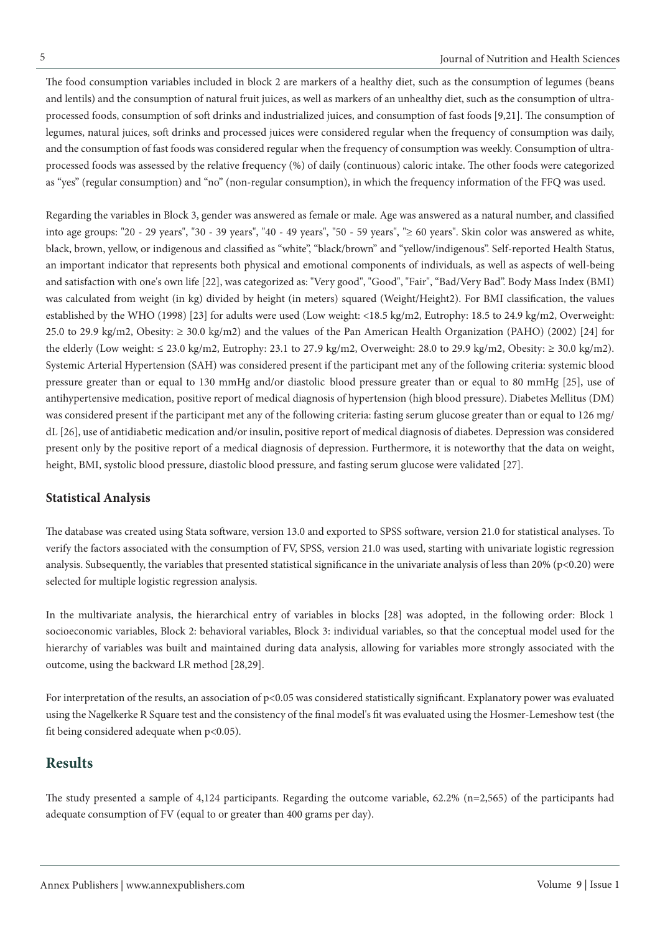The food consumption variables included in block 2 are markers of a healthy diet, such as the consumption of legumes (beans and lentils) and the consumption of natural fruit juices, as well as markers of an unhealthy diet, such as the consumption of ultraprocessed foods, consumption of soft drinks and industrialized juices, and consumption of fast foods [9,21]. The consumption of legumes, natural juices, soft drinks and processed juices were considered regular when the frequency of consumption was daily, and the consumption of fast foods was considered regular when the frequency of consumption was weekly. Consumption of ultraprocessed foods was assessed by the relative frequency (%) of daily (continuous) caloric intake. The other foods were categorized as "yes" (regular consumption) and "no" (non-regular consumption), in which the frequency information of the FFQ was used.

Regarding the variables in Block 3, gender was answered as female or male. Age was answered as a natural number, and classified into age groups: "20 - 29 years", "30 - 39 years", "40 - 49 years", "50 - 59 years", "≥ 60 years". Skin color was answered as white, black, brown, yellow, or indigenous and classified as "white", "black/brown" and "yellow/indigenous". Self-reported Health Status, an important indicator that represents both physical and emotional components of individuals, as well as aspects of well-being and satisfaction with one's own life [22], was categorized as: "Very good", "Good", "Fair", "Bad/Very Bad". Body Mass Index (BMI) was calculated from weight (in kg) divided by height (in meters) squared (Weight/Height2). For BMI classification, the values established by the WHO (1998) [23] for adults were used (Low weight: <18.5 kg/m2, Eutrophy: 18.5 to 24.9 kg/m2, Overweight: 25.0 to 29.9 kg/m2, Obesity:  $\geq$  30.0 kg/m2) and the values of the Pan American Health Organization (PAHO) (2002) [24] for the elderly (Low weight:  $\leq 23.0$  kg/m2, Eutrophy: 23.1 to 27.9 kg/m2, Overweight: 28.0 to 29.9 kg/m2, Obesity:  $\geq 30.0$  kg/m2). Systemic Arterial Hypertension (SAH) was considered present if the participant met any of the following criteria: systemic blood pressure greater than or equal to 130 mmHg and/or diastolic blood pressure greater than or equal to 80 mmHg [25], use of antihypertensive medication, positive report of medical diagnosis of hypertension (high blood pressure). Diabetes Mellitus (DM) was considered present if the participant met any of the following criteria: fasting serum glucose greater than or equal to 126 mg/ dL [26], use of antidiabetic medication and/or insulin, positive report of medical diagnosis of diabetes. Depression was considered present only by the positive report of a medical diagnosis of depression. Furthermore, it is noteworthy that the data on weight, height, BMI, systolic blood pressure, diastolic blood pressure, and fasting serum glucose were validated [27].

#### **Statistical Analysis**

The database was created using Stata software, version 13.0 and exported to SPSS software, version 21.0 for statistical analyses. To verify the factors associated with the consumption of FV, SPSS, version 21.0 was used, starting with univariate logistic regression analysis. Subsequently, the variables that presented statistical significance in the univariate analysis of less than 20% (p<0.20) were selected for multiple logistic regression analysis.

In the multivariate analysis, the hierarchical entry of variables in blocks [28] was adopted, in the following order: Block 1 socioeconomic variables, Block 2: behavioral variables, Block 3: individual variables, so that the conceptual model used for the hierarchy of variables was built and maintained during data analysis, allowing for variables more strongly associated with the outcome, using the backward LR method [28,29].

For interpretation of the results, an association of p<0.05 was considered statistically significant. Explanatory power was evaluated using the Nagelkerke R Square test and the consistency of the final model's fit was evaluated using the Hosmer-Lemeshow test (the fit being considered adequate when p<0.05).

#### **Results**

The study presented a sample of 4,124 participants. Regarding the outcome variable, 62.2% (n=2,565) of the participants had adequate consumption of FV (equal to or greater than 400 grams per day).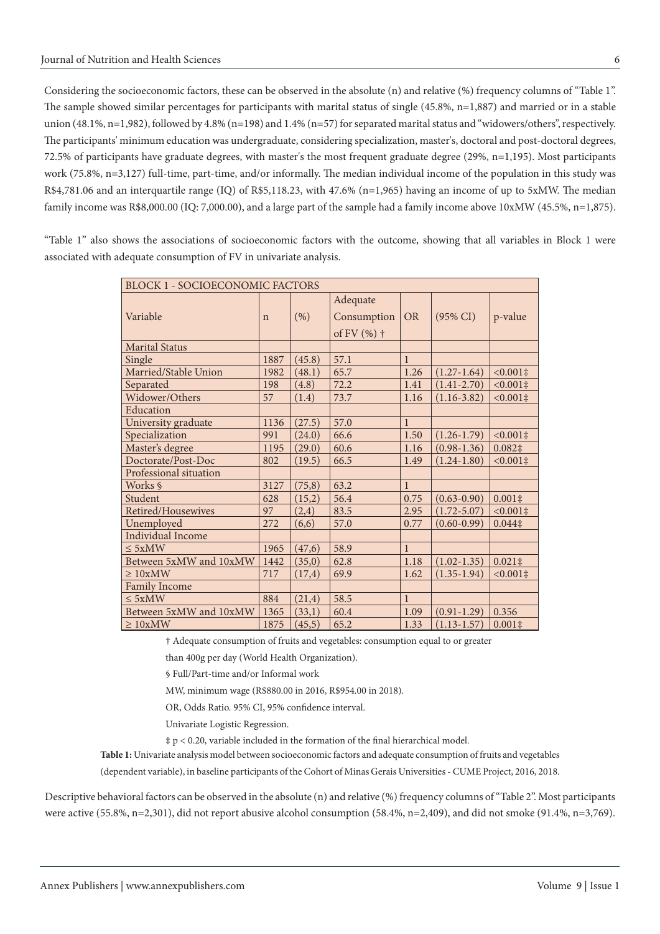Considering the socioeconomic factors, these can be observed in the absolute (n) and relative (%) frequency columns of "Table 1". The sample showed similar percentages for participants with marital status of single (45.8%, n=1,887) and married or in a stable union (48.1%, n=1,982), followed by 4.8% (n=198) and 1.4% (n=57) for separated marital status and "widowers/others", respectively. The participants' minimum education was undergraduate, considering specialization, master's, doctoral and post-doctoral degrees, 72.5% of participants have graduate degrees, with master's the most frequent graduate degree (29%, n=1,195). Most participants work (75.8%, n=3,127) full-time, part-time, and/or informally. The median individual income of the population in this study was R\$4,781.06 and an interquartile range (IQ) of R\$5,118.23, with 47.6% (n=1,965) having an income of up to 5xMW. The median family income was R\$8,000.00 (IQ: 7,000.00), and a large part of the sample had a family income above  $10xMW$  (45.5%, n=1,875).

"Table 1" also shows the associations of socioeconomic factors with the outcome, showing that all variables in Block 1 were associated with adequate consumption of FV in univariate analysis.

| <b>BLOCK 1 - SOCIOECONOMIC FACTORS</b> |             |         |               |              |                     |                    |
|----------------------------------------|-------------|---------|---------------|--------------|---------------------|--------------------|
| Variable                               |             | (% )    | Adequate      | <b>OR</b>    | $(95\% \text{ CI})$ | p-value            |
|                                        | $\mathbf n$ |         | Consumption   |              |                     |                    |
|                                        |             |         | of FV $(%)$ † |              |                     |                    |
| <b>Marital Status</b>                  |             |         |               |              |                     |                    |
| Single                                 | 1887        | (45.8)  | 57.1          | $\mathbf{1}$ |                     |                    |
| Married/Stable Union                   | 1982        | (48.1)  | 65.7          | 1.26         | $(1.27-1.64)$       | $<0.001\ddagger$   |
| Separated                              | 198         | (4.8)   | 72.2          | 1.41         | $(1.41 - 2.70)$     | $< 0.001 \ddagger$ |
| Widower/Others                         | 57          | (1.4)   | 73.7          | 1.16         | $(1.16 - 3.82)$     | $< 0.001 \ddagger$ |
| Education                              |             |         |               |              |                     |                    |
| University graduate                    | 1136        | (27.5)  | 57.0          | $\mathbf{1}$ |                     |                    |
| Specialization                         | 991         | (24.0)  | 66.6          | 1.50         | $(1.26 - 1.79)$     | $< 0.001 \ddagger$ |
| Master's degree                        | 1195        | (29.0)  | 60.6          | 1.16         | $(0.98 - 1.36)$     | $0.082$ ‡          |
| Doctorate/Post-Doc                     | 802         | (19.5)  | 66.5          | 1.49         | $(1.24 - 1.80)$     | $< 0.001 \ddagger$ |
| Professional situation                 |             |         |               |              |                     |                    |
| Works §                                | 3127        | (75, 8) | 63.2          | $\mathbf{1}$ |                     |                    |
| Student                                | 628         | (15,2)  | 56.4          | 0.75         | $(0.63 - 0.90)$     | $0.001\ddagger$    |
| Retired/Housewives                     | 97          | (2,4)   | 83.5          | 2.95         | $(1.72 - 5.07)$     | $< 0.001 \ddagger$ |
| Unemployed                             | 272         | (6,6)   | 57.0          | 0.77         | $(0.60 - 0.99)$     | $0.044$ ‡          |
| <b>Individual Income</b>               |             |         |               |              |                     |                    |
| $\leq$ 5xMW                            | 1965        | (47,6)  | 58.9          | $\mathbf{1}$ |                     |                    |
| Between 5xMW and 10xMW                 | 1442        | (35,0)  | 62.8          | 1.18         | $(1.02 - 1.35)$     | $0.021 \ddagger$   |
| $\geq 10xMW$                           | 717         | (17,4)  | 69.9          | 1.62         | $(1.35 - 1.94)$     | $< 0.001 \ddagger$ |
| <b>Family Income</b>                   |             |         |               |              |                     |                    |
| $\leq$ 5xMW                            | 884         | (21,4)  | 58.5          | $\mathbf{1}$ |                     |                    |
| Between 5xMW and 10xMW                 | 1365        | (33,1)  | 60.4          | 1.09         | $(0.91 - 1.29)$     | 0.356              |
| $\geq 10$ xMW                          | 1875        | (45,5)  | 65.2          | 1.33         | $(1.13 - 1.57)$     | $0.001\ddagger$    |

† Adequate consumption of fruits and vegetables: consumption equal to or greater

than 400g per day (World Health Organization).

§ Full/Part-time and/or Informal work

MW, minimum wage (R\$880.00 in 2016, R\$954.00 in 2018).

OR, Odds Ratio. 95% CI, 95% confidence interval.

Univariate Logistic Regression.

‡ p < 0.20, variable included in the formation of the final hierarchical model.

**Table 1:** Univariate analysis model between socioeconomic factors and adequate consumption of fruits and vegetables

(dependent variable), in baseline participants of the Cohort of Minas Gerais Universities - CUME Project, 2016, 2018.

Descriptive behavioral factors can be observed in the absolute (n) and relative (%) frequency columns of "Table 2". Most participants were active (55.8%, n=2,301), did not report abusive alcohol consumption (58.4%, n=2,409), and did not smoke (91.4%, n=3,769).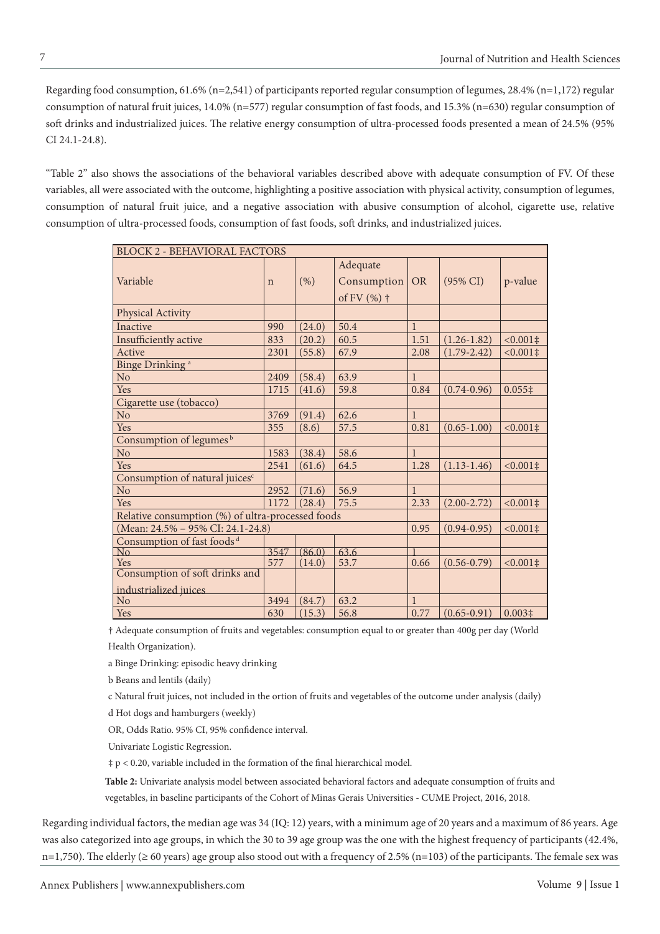Regarding food consumption, 61.6% (n=2,541) of participants reported regular consumption of legumes, 28.4% (n=1,172) regular consumption of natural fruit juices, 14.0% (n=577) regular consumption of fast foods, and 15.3% (n=630) regular consumption of soft drinks and industrialized juices. The relative energy consumption of ultra-processed foods presented a mean of 24.5% (95% CI 24.1-24.8).

"Table 2" also shows the associations of the behavioral variables described above with adequate consumption of FV. Of these variables, all were associated with the outcome, highlighting a positive association with physical activity, consumption of legumes, consumption of natural fruit juice, and a negative association with abusive consumption of alcohol, cigarette use, relative consumption of ultra-processed foods, consumption of fast foods, soft drinks, and industrialized juices.

| <b>BLOCK 2 - BEHAVIORAL FACTORS</b>                     |              |        |                                          |              |                     |                    |  |
|---------------------------------------------------------|--------------|--------|------------------------------------------|--------------|---------------------|--------------------|--|
| Variable                                                | $\mathsf{n}$ | (% )   | Adequate<br>Consumption<br>of FV $(%)$ † | <b>OR</b>    | $(95\% \text{ CI})$ | p-value            |  |
| Physical Activity                                       |              |        |                                          |              |                     |                    |  |
| Inactive                                                | 990          | (24.0) | 50.4                                     | $\mathbf{1}$ |                     |                    |  |
| Insufficiently active                                   | 833          | (20.2) | 60.5                                     | 1.51         | $(1.26 - 1.82)$     | $< 0.001 \ddagger$ |  |
| Active                                                  | 2301         | (55.8) | 67.9                                     | 2.08         | $(1.79 - 2.42)$     | $< 0.001 \ddagger$ |  |
| Binge Drinking <sup>a</sup>                             |              |        |                                          |              |                     |                    |  |
| N <sub>o</sub>                                          | 2409         | (58.4) | 63.9                                     | $\mathbf{1}$ |                     |                    |  |
| Yes                                                     | 1715         | (41.6) | 59.8                                     | 0.84         | $(0.74 - 0.96)$     | $0.055$ ‡          |  |
| Cigarette use (tobacco)                                 |              |        |                                          |              |                     |                    |  |
| N <sub>o</sub>                                          | 3769         | (91.4) | 62.6                                     | $\mathbf{1}$ |                     |                    |  |
| Yes                                                     | 355          | (8.6)  | 57.5                                     | 0.81         | $(0.65 - 1.00)$     | $<0.001$ ‡         |  |
| Consumption of legumes <sup>b</sup>                     |              |        |                                          |              |                     |                    |  |
| No                                                      | 1583         | (38.4) | 58.6                                     | $\mathbf{1}$ |                     |                    |  |
| Yes                                                     | 2541         | (61.6) | 64.5                                     | 1.28         | $(1.13 - 1.46)$     | $< 0.001 \ddagger$ |  |
| Consumption of natural juices <sup>c</sup>              |              |        |                                          |              |                     |                    |  |
| N <sub>o</sub>                                          | 2952         | (71.6) | 56.9                                     | $\mathbf{1}$ |                     |                    |  |
| Yes                                                     | 1172         | (28.4) | 75.5                                     | 2.33         | $(2.00 - 2.72)$     | $< 0.001 \ddagger$ |  |
| Relative consumption (%) of ultra-processed foods       |              |        |                                          |              |                     |                    |  |
| (Mean: 24.5% - 95% CI: 24.1-24.8)                       |              |        |                                          |              | $(0.94 - 0.95)$     | $<0.001\ddagger$   |  |
| Consumption of fast foods <sup>d</sup>                  |              |        |                                          |              |                     |                    |  |
| No                                                      | 3547         | (86.0) | 63.6                                     |              |                     |                    |  |
| Yes                                                     | 577          | (14.0) | 53.7                                     | 0.66         | $(0.56 - 0.79)$     | $<0.001\ddagger$   |  |
| Consumption of soft drinks and<br>industrialized juices |              |        |                                          |              |                     |                    |  |
| N <sub>o</sub>                                          | 3494         | (84.7) | 63.2                                     | $\mathbf{1}$ |                     |                    |  |
| Yes                                                     | 630          | (15.3) | 56.8                                     | 0.77         | $(0.65 - 0.91)$     | $0.003\ddagger$    |  |

† Adequate consumption of fruits and vegetables: consumption equal to or greater than 400g per day (World Health Organization).

a Binge Drinking: episodic heavy drinking

b Beans and lentils (daily)

c Natural fruit juices, not included in the ortion of fruits and vegetables of the outcome under analysis (daily)

d Hot dogs and hamburgers (weekly)

OR, Odds Ratio. 95% CI, 95% confidence interval.

Univariate Logistic Regression.

‡ p < 0.20, variable included in the formation of the final hierarchical model.

**Table 2:** Univariate analysis model between associated behavioral factors and adequate consumption of fruits and vegetables, in baseline participants of the Cohort of Minas Gerais Universities - CUME Project, 2016, 2018.

Regarding individual factors, the median age was 34 (IQ: 12) years, with a minimum age of 20 years and a maximum of 86 years. Age was also categorized into age groups, in which the 30 to 39 age group was the one with the highest frequency of participants (42.4%, n=1,750). The elderly (≥60 years) age group also stood out with a frequency of 2.5% (n=103) of the participants. The female sex was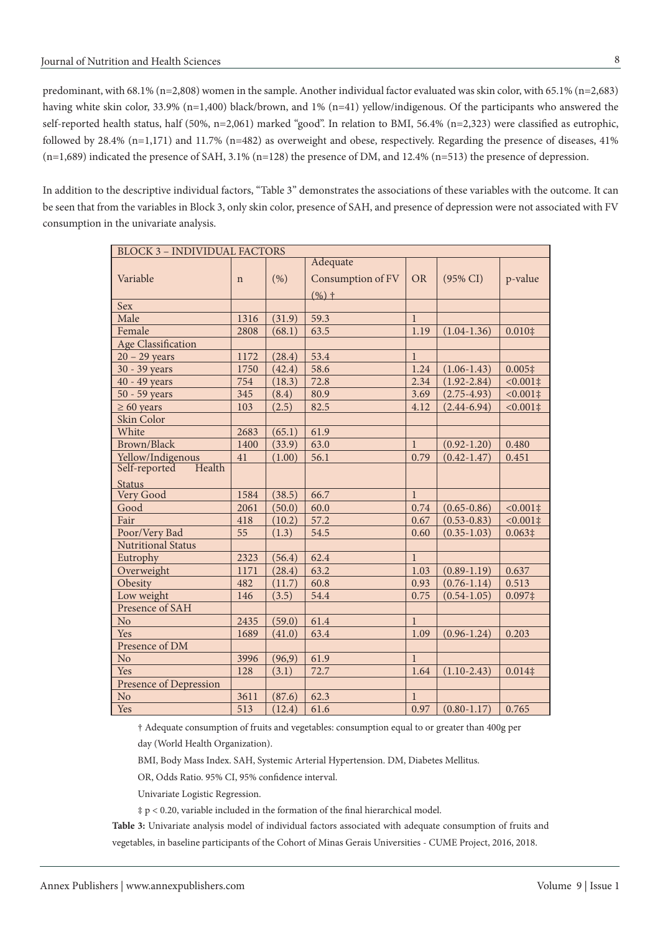predominant, with 68.1% (n=2,808) women in the sample. Another individual factor evaluated was skin color, with 65.1% (n=2,683) having white skin color, 33.9% (n=1,400) black/brown, and 1% (n=41) yellow/indigenous. Of the participants who answered the self-reported health status, half (50%, n=2,061) marked "good". In relation to BMI, 56.4% (n=2,323) were classified as eutrophic, followed by 28.4%  $(n=1,171)$  and 11.7%  $(n=482)$  as overweight and obese, respectively. Regarding the presence of diseases, 41% (n=1,689) indicated the presence of SAH, 3.1% (n=128) the presence of DM, and 12.4% (n=513) the presence of depression.

In addition to the descriptive individual factors, "Table 3" demonstrates the associations of these variables with the outcome. It can be seen that from the variables in Block 3, only skin color, presence of SAH, and presence of depression were not associated with FV consumption in the univariate analysis.

| <b>BLOCK 3 - INDIVIDUAL FACTORS</b> |             |         |                   |              |                     |                    |  |
|-------------------------------------|-------------|---------|-------------------|--------------|---------------------|--------------------|--|
|                                     |             |         | Adequate          |              |                     |                    |  |
| Variable                            | $\mathbf n$ | (% )    | Consumption of FV | <b>OR</b>    | $(95\% \text{ CI})$ | p-value            |  |
|                                     |             |         | $(%)$ +           |              |                     |                    |  |
| Sex                                 |             |         |                   |              |                     |                    |  |
| Male                                | 1316        | (31.9)  | 59.3              | $\mathbf{1}$ |                     |                    |  |
| Female                              | 2808        | (68.1)  | 63.5              | 1.19         | $(1.04-1.36)$       | $0.010$ ‡          |  |
| <b>Age Classification</b>           |             |         |                   |              |                     |                    |  |
| $20 - 29$ years                     | 1172        | (28.4)  | 53.4              | $\mathbf{1}$ |                     |                    |  |
| 30 - 39 years                       | 1750        | (42.4)  | 58.6              | 1.24         | $(1.06 - 1.43)$     | $0.005\ddagger$    |  |
| 40 - 49 years                       | 754         | (18.3)  | 72.8              | 2.34         | $(1.92 - 2.84)$     | $< 0.001 \ddagger$ |  |
| 50 - 59 years                       | 345         | (8.4)   | 80.9              | 3.69         | $(2.75 - 4.93)$     | $< 0.001 \ddagger$ |  |
| $\geq 60$ years                     | 103         | (2.5)   | 82.5              | 4.12         | $(2.44 - 6.94)$     | $< 0.001 \ddagger$ |  |
| Skin Color                          |             |         |                   |              |                     |                    |  |
| White                               | 2683        | (65.1)  | 61.9              |              |                     |                    |  |
| Brown/Black                         | 1400        | (33.9)  | 63.0              | $\mathbf{1}$ | $(0.92 - 1.20)$     | 0.480              |  |
| Yellow/Indigenous                   | 41          | (1.00)  | 56.1              | 0.79         | $(0.42 - 1.47)$     | 0.451              |  |
| Health<br>Self-reported             |             |         |                   |              |                     |                    |  |
| <b>Status</b>                       |             |         |                   |              |                     |                    |  |
| Very Good                           | 1584        | (38.5)  | 66.7              | $\mathbf{1}$ |                     |                    |  |
| Good                                | 2061        | (50.0)  | 60.0              | 0.74         | $(0.65 - 0.86)$     | $< 0.001 \ddagger$ |  |
| Fair                                | 418         | (10.2)  | 57.2              | 0.67         | $(0.53 - 0.83)$     | $< 0.001 \ddagger$ |  |
| Poor/Very Bad                       | 55          | (1.3)   | 54.5              | 0.60         | $(0.35 - 1.03)$     | $0.063\ddagger$    |  |
| <b>Nutritional Status</b>           |             |         |                   |              |                     |                    |  |
| Eutrophy                            | 2323        | (56.4)  | 62.4              | $\mathbf{1}$ |                     |                    |  |
| Overweight                          | 1171        | (28.4)  | 63.2              | 1.03         | $(0.89 - 1.19)$     | 0.637              |  |
| Obesity                             | 482         | (11.7)  | 60.8              | 0.93         | $(0.76 - 1.14)$     | 0.513              |  |
| Low weight                          | 146         | (3.5)   | 54.4              | 0.75         | $(0.54 - 1.05)$     | $0.097$ ‡          |  |
| Presence of SAH                     |             |         |                   |              |                     |                    |  |
| No                                  | 2435        | (59.0)  | 61.4              | $\mathbf{1}$ |                     |                    |  |
| Yes                                 | 1689        | (41.0)  | 63.4              | 1.09         | $(0.96 - 1.24)$     | 0.203              |  |
| Presence of DM                      |             |         |                   |              |                     |                    |  |
| No.                                 | 3996        | (96, 9) | 61.9              | $\mathbf{1}$ |                     |                    |  |
| Yes                                 | 128         | (3.1)   | 72.7              | 1.64         | $(1.10-2.43)$       | $0.014$ ‡          |  |
| Presence of Depression              |             |         |                   |              |                     |                    |  |
| No.                                 | 3611        | (87.6)  | 62.3              | $\mathbf{1}$ |                     |                    |  |
| Yes                                 | 513         | (12.4)  | 61.6              | 0.97         | $(0.80 - 1.17)$     | 0.765              |  |

† Adequate consumption of fruits and vegetables: consumption equal to or greater than 400g per

day (World Health Organization).

BMI, Body Mass Index. SAH, Systemic Arterial Hypertension. DM, Diabetes Mellitus.

OR, Odds Ratio. 95% CI, 95% confidence interval.

Univariate Logistic Regression.

 $\ddagger$  p < 0.20, variable included in the formation of the final hierarchical model.

**Table 3:** Univariate analysis model of individual factors associated with adequate consumption of fruits and vegetables, in baseline participants of the Cohort of Minas Gerais Universities - CUME Project, 2016, 2018.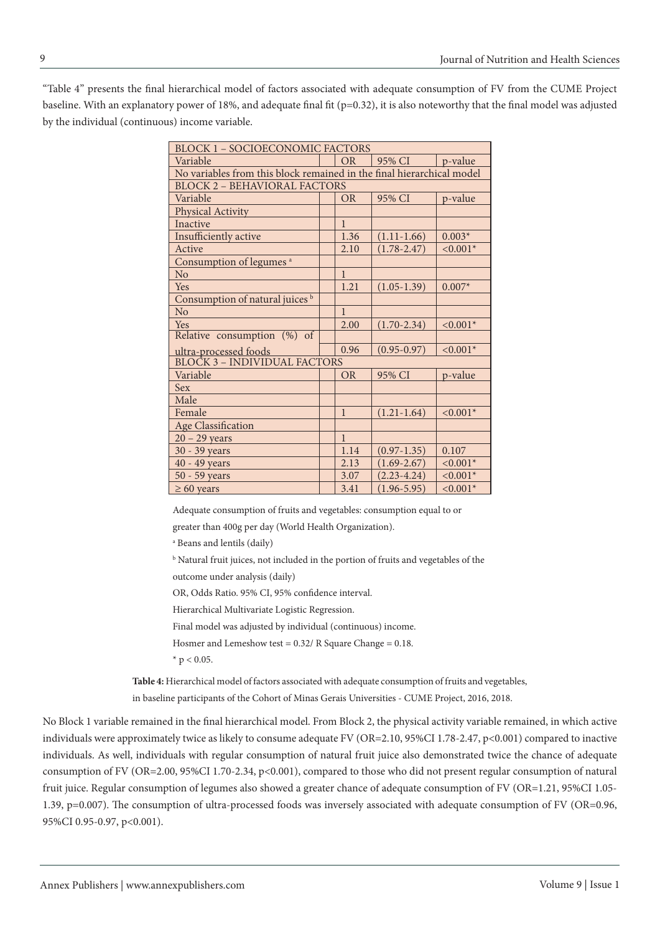"Table 4" presents the final hierarchical model of factors associated with adequate consumption of FV from the CUME Project baseline. With an explanatory power of 18%, and adequate final fit (p=0.32), it is also noteworthy that the final model was adjusted by the individual (continuous) income variable.

| <b>BLOCK 1 - SOCIOECONOMIC FACTORS</b>                                |  |              |                 |             |  |  |  |  |
|-----------------------------------------------------------------------|--|--------------|-----------------|-------------|--|--|--|--|
| Variable                                                              |  | <b>OR</b>    | 95% CI          | p-value     |  |  |  |  |
| No variables from this block remained in the final hierarchical model |  |              |                 |             |  |  |  |  |
| <b>BLOCK 2 - BEHAVIORAL FACTORS</b>                                   |  |              |                 |             |  |  |  |  |
| Variable                                                              |  | <b>OR</b>    | 95% CI          | p-value     |  |  |  |  |
| Physical Activity                                                     |  |              |                 |             |  |  |  |  |
| <b>Inactive</b>                                                       |  | $\mathbf{1}$ |                 |             |  |  |  |  |
| Insufficiently active                                                 |  | 1.36         | $(1.11-1.66)$   | $0.003*$    |  |  |  |  |
| Active                                                                |  | 2.10         | $(1.78 - 2.47)$ | $< 0.001*$  |  |  |  |  |
| Consumption of legumes <sup>a</sup>                                   |  |              |                 |             |  |  |  |  |
| No                                                                    |  | $\mathbf{1}$ |                 |             |  |  |  |  |
| <b>Yes</b>                                                            |  | 1.21         | $(1.05-1.39)$   | $0.007*$    |  |  |  |  |
| Consumption of natural juices <sup>b</sup>                            |  |              |                 |             |  |  |  |  |
| N <sub>o</sub>                                                        |  | $\mathbf{1}$ |                 |             |  |  |  |  |
| Yes                                                                   |  | 2.00         | $(1.70 - 2.34)$ | $< 0.001*$  |  |  |  |  |
| Relative consumption (%) of                                           |  |              |                 |             |  |  |  |  |
|                                                                       |  | 0.96         | $(0.95 - 0.97)$ | $< 0.001*$  |  |  |  |  |
| ultra-processed foods<br>BLOCK 3 - INDIVIDUAL FACTORS                 |  |              |                 |             |  |  |  |  |
| Variable                                                              |  | <b>OR</b>    | 95% CI          | p-value     |  |  |  |  |
| <b>Sex</b>                                                            |  |              |                 |             |  |  |  |  |
| Male                                                                  |  |              |                 |             |  |  |  |  |
| Female                                                                |  | $\mathbf{1}$ | $(1.21 - 1.64)$ | $< 0.001*$  |  |  |  |  |
| <b>Age Classification</b>                                             |  |              |                 |             |  |  |  |  |
| $20 - 29$ years                                                       |  | $\mathbf{1}$ |                 |             |  |  |  |  |
| 30 - 39 years                                                         |  | 1.14         | $(0.97 - 1.35)$ | 0.107       |  |  |  |  |
| 40 - 49 years                                                         |  | 2.13         | $(1.69 - 2.67)$ | ${<}0.001*$ |  |  |  |  |
| 50 - 59 years                                                         |  | 3.07         | $(2.23 - 4.24)$ | $< 0.001*$  |  |  |  |  |
| $\geq 60$ years                                                       |  | 3.41         | $(1.96 - 5.95)$ | $< 0.001*$  |  |  |  |  |

Adequate consumption of fruits and vegetables: consumption equal to or

greater than 400g per day (World Health Organization).

a Beans and lentils (daily)

b Natural fruit juices, not included in the portion of fruits and vegetables of the outcome under analysis (daily)

OR, Odds Ratio. 95% CI, 95% confidence interval.

Hierarchical Multivariate Logistic Regression.

Final model was adjusted by individual (continuous) income.

Hosmer and Lemeshow test = 0.32/ R Square Change = 0.18.

 $*$  p < 0.05.

**Table 4:** Hierarchical model of factors associated with adequate consumption of fruits and vegetables, in baseline participants of the Cohort of Minas Gerais Universities - CUME Project, 2016, 2018.

No Block 1 variable remained in the final hierarchical model. From Block 2, the physical activity variable remained, in which active individuals were approximately twice as likely to consume adequate FV (OR=2.10, 95%CI 1.78-2.47, p<0.001) compared to inactive individuals. As well, individuals with regular consumption of natural fruit juice also demonstrated twice the chance of adequate consumption of FV (OR=2.00, 95%CI 1.70-2.34, p<0.001), compared to those who did not present regular consumption of natural fruit juice. Regular consumption of legumes also showed a greater chance of adequate consumption of FV (OR=1.21, 95%CI 1.05- 1.39, p=0.007). The consumption of ultra-processed foods was inversely associated with adequate consumption of FV (OR=0.96, 95%CI 0.95-0.97, p<0.001).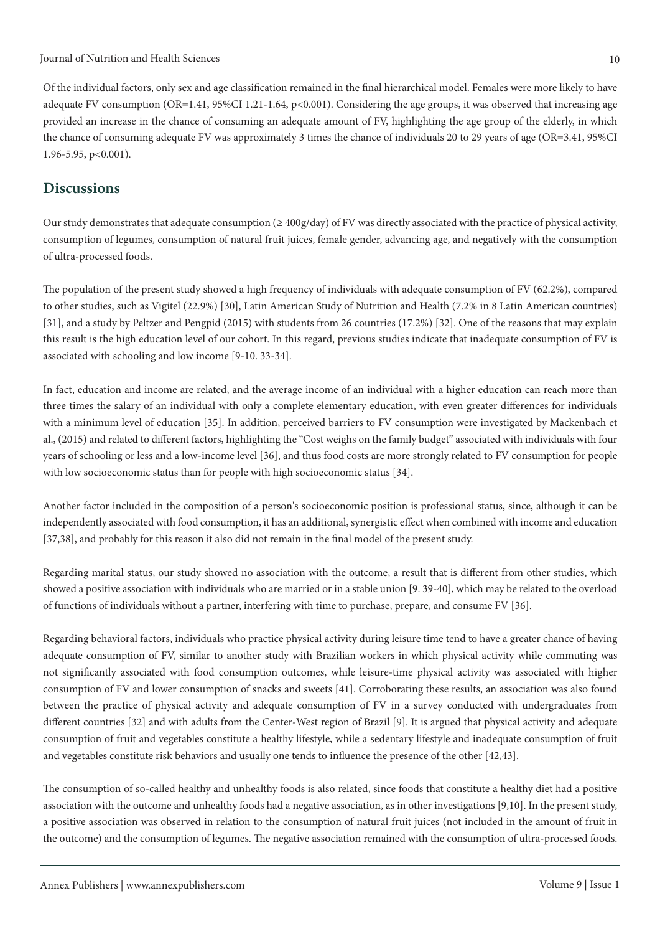Of the individual factors, only sex and age classification remained in the final hierarchical model. Females were more likely to have adequate FV consumption (OR=1.41, 95%CI 1.21-1.64,  $p<0.001$ ). Considering the age groups, it was observed that increasing age provided an increase in the chance of consuming an adequate amount of FV, highlighting the age group of the elderly, in which the chance of consuming adequate FV was approximately 3 times the chance of individuals 20 to 29 years of age (OR=3.41, 95%CI 1.96-5.95, p<0.001).

# **Discussions**

Our study demonstrates that adequate consumption ( $\geq 400g/day$ ) of FV was directly associated with the practice of physical activity, consumption of legumes, consumption of natural fruit juices, female gender, advancing age, and negatively with the consumption of ultra-processed foods.

The population of the present study showed a high frequency of individuals with adequate consumption of FV (62.2%), compared to other studies, such as Vigitel (22.9%) [30], Latin American Study of Nutrition and Health (7.2% in 8 Latin American countries) [31], and a study by Peltzer and Pengpid (2015) with students from 26 countries (17.2%) [32]. One of the reasons that may explain this result is the high education level of our cohort. In this regard, previous studies indicate that inadequate consumption of FV is associated with schooling and low income [9-10. 33-34].

In fact, education and income are related, and the average income of an individual with a higher education can reach more than three times the salary of an individual with only a complete elementary education, with even greater differences for individuals with a minimum level of education [35]. In addition, perceived barriers to FV consumption were investigated by Mackenbach et al., (2015) and related to different factors, highlighting the "Cost weighs on the family budget" associated with individuals with four years of schooling or less and a low-income level [36], and thus food costs are more strongly related to FV consumption for people with low socioeconomic status than for people with high socioeconomic status [34].

Another factor included in the composition of a person's socioeconomic position is professional status, since, although it can be independently associated with food consumption, it has an additional, synergistic effect when combined with income and education [37,38], and probably for this reason it also did not remain in the final model of the present study.

Regarding marital status, our study showed no association with the outcome, a result that is different from other studies, which showed a positive association with individuals who are married or in a stable union [9. 39-40], which may be related to the overload of functions of individuals without a partner, interfering with time to purchase, prepare, and consume FV [36].

Regarding behavioral factors, individuals who practice physical activity during leisure time tend to have a greater chance of having adequate consumption of FV, similar to another study with Brazilian workers in which physical activity while commuting was not significantly associated with food consumption outcomes, while leisure-time physical activity was associated with higher consumption of FV and lower consumption of snacks and sweets [41]. Corroborating these results, an association was also found between the practice of physical activity and adequate consumption of FV in a survey conducted with undergraduates from different countries [32] and with adults from the Center-West region of Brazil [9]. It is argued that physical activity and adequate consumption of fruit and vegetables constitute a healthy lifestyle, while a sedentary lifestyle and inadequate consumption of fruit and vegetables constitute risk behaviors and usually one tends to influence the presence of the other [42,43].

The consumption of so-called healthy and unhealthy foods is also related, since foods that constitute a healthy diet had a positive association with the outcome and unhealthy foods had a negative association, as in other investigations [9,10]. In the present study, a positive association was observed in relation to the consumption of natural fruit juices (not included in the amount of fruit in the outcome) and the consumption of legumes. The negative association remained with the consumption of ultra-processed foods.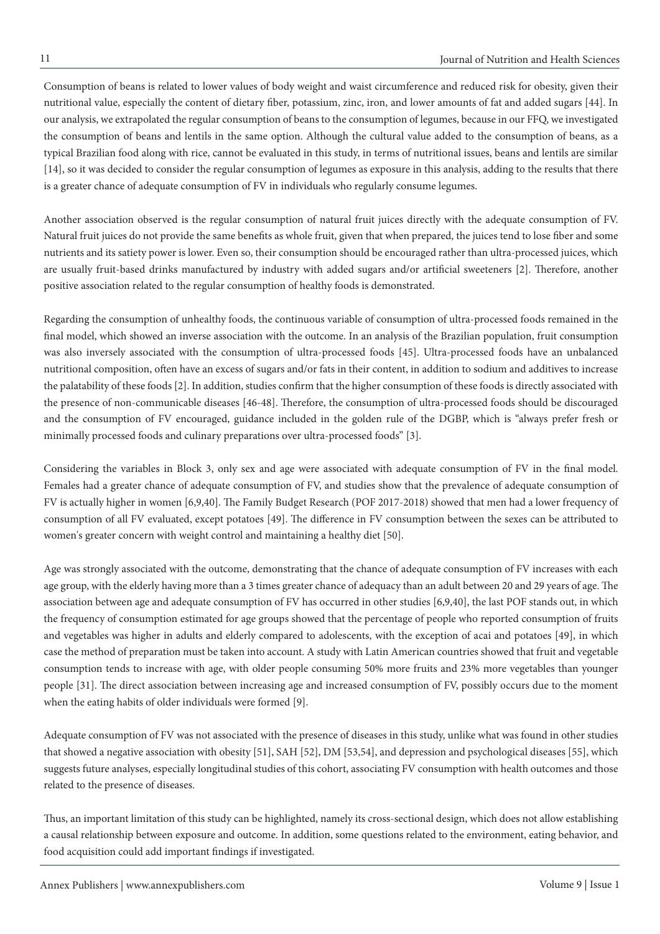Consumption of beans is related to lower values of body weight and waist circumference and reduced risk for obesity, given their nutritional value, especially the content of dietary fiber, potassium, zinc, iron, and lower amounts of fat and added sugars [44]. In our analysis, we extrapolated the regular consumption of beans to the consumption of legumes, because in our FFQ, we investigated the consumption of beans and lentils in the same option. Although the cultural value added to the consumption of beans, as a typical Brazilian food along with rice, cannot be evaluated in this study, in terms of nutritional issues, beans and lentils are similar [14], so it was decided to consider the regular consumption of legumes as exposure in this analysis, adding to the results that there is a greater chance of adequate consumption of FV in individuals who regularly consume legumes.

Another association observed is the regular consumption of natural fruit juices directly with the adequate consumption of FV. Natural fruit juices do not provide the same benefits as whole fruit, given that when prepared, the juices tend to lose fiber and some nutrients and its satiety power is lower. Even so, their consumption should be encouraged rather than ultra-processed juices, which are usually fruit-based drinks manufactured by industry with added sugars and/or artificial sweeteners [2]. Therefore, another positive association related to the regular consumption of healthy foods is demonstrated.

Regarding the consumption of unhealthy foods, the continuous variable of consumption of ultra-processed foods remained in the final model, which showed an inverse association with the outcome. In an analysis of the Brazilian population, fruit consumption was also inversely associated with the consumption of ultra-processed foods [45]. Ultra-processed foods have an unbalanced nutritional composition, often have an excess of sugars and/or fats in their content, in addition to sodium and additives to increase the palatability of these foods [2]. In addition, studies confirm that the higher consumption of these foods is directly associated with the presence of non-communicable diseases [46-48]. Therefore, the consumption of ultra-processed foods should be discouraged and the consumption of FV encouraged, guidance included in the golden rule of the DGBP, which is "always prefer fresh or minimally processed foods and culinary preparations over ultra-processed foods" [3].

Considering the variables in Block 3, only sex and age were associated with adequate consumption of FV in the final model. Females had a greater chance of adequate consumption of FV, and studies show that the prevalence of adequate consumption of FV is actually higher in women [6,9,40]. The Family Budget Research (POF 2017-2018) showed that men had a lower frequency of consumption of all FV evaluated, except potatoes [49]. The difference in FV consumption between the sexes can be attributed to women's greater concern with weight control and maintaining a healthy diet [50].

Age was strongly associated with the outcome, demonstrating that the chance of adequate consumption of FV increases with each age group, with the elderly having more than a 3 times greater chance of adequacy than an adult between 20 and 29 years of age. The association between age and adequate consumption of FV has occurred in other studies [6,9,40], the last POF stands out, in which the frequency of consumption estimated for age groups showed that the percentage of people who reported consumption of fruits and vegetables was higher in adults and elderly compared to adolescents, with the exception of acai and potatoes [49], in which case the method of preparation must be taken into account. A study with Latin American countries showed that fruit and vegetable consumption tends to increase with age, with older people consuming 50% more fruits and 23% more vegetables than younger people [31]. The direct association between increasing age and increased consumption of FV, possibly occurs due to the moment when the eating habits of older individuals were formed [9].

Adequate consumption of FV was not associated with the presence of diseases in this study, unlike what was found in other studies that showed a negative association with obesity [51], SAH [52], DM [53,54], and depression and psychological diseases [55], which suggests future analyses, especially longitudinal studies of this cohort, associating FV consumption with health outcomes and those related to the presence of diseases.

Thus, an important limitation of this study can be highlighted, namely its cross-sectional design, which does not allow establishing a causal relationship between exposure and outcome. In addition, some questions related to the environment, eating behavior, and food acquisition could add important findings if investigated.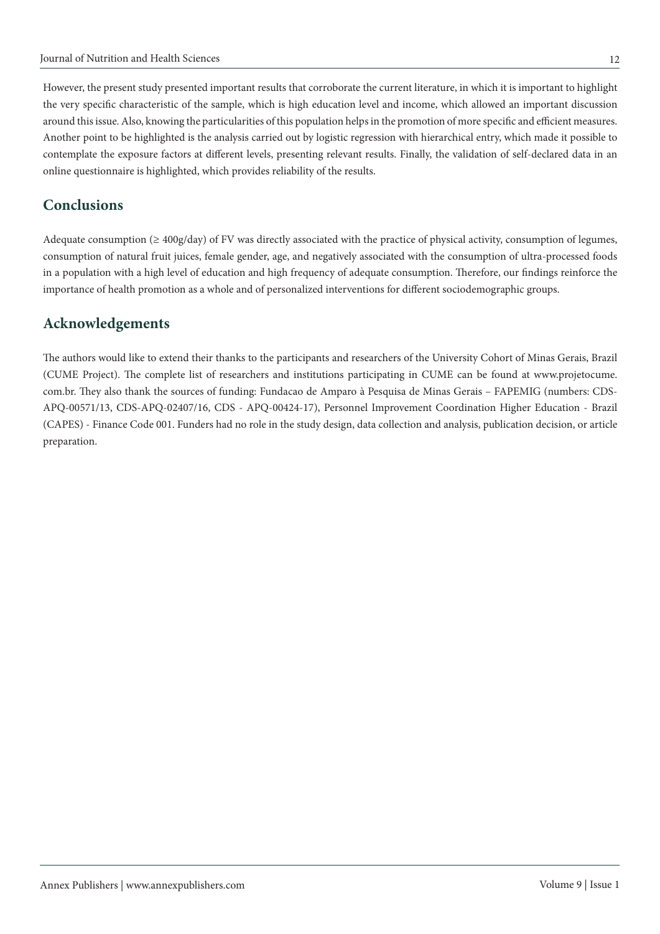However, the present study presented important results that corroborate the current literature, in which it is important to highlight the very specific characteristic of the sample, which is high education level and income, which allowed an important discussion around this issue. Also, knowing the particularities of this population helps in the promotion of more specific and efficient measures. Another point to be highlighted is the analysis carried out by logistic regression with hierarchical entry, which made it possible to contemplate the exposure factors at different levels, presenting relevant results. Finally, the validation of self-declared data in an online questionnaire is highlighted, which provides reliability of the results.

# **Conclusions**

Adequate consumption ( $\geq 400g/day$ ) of FV was directly associated with the practice of physical activity, consumption of legumes, consumption of natural fruit juices, female gender, age, and negatively associated with the consumption of ultra-processed foods in a population with a high level of education and high frequency of adequate consumption. Therefore, our findings reinforce the importance of health promotion as a whole and of personalized interventions for different sociodemographic groups.

# **Acknowledgements**

The authors would like to extend their thanks to the participants and researchers of the University Cohort of Minas Gerais, Brazil (CUME Project). The complete list of researchers and institutions participating in CUME can be found at www.projetocume. com.br. They also thank the sources of funding: Fundacao de Amparo à Pesquisa de Minas Gerais – FAPEMIG (numbers: CDS-APQ-00571/13, CDS-APQ-02407/16, CDS - APQ-00424-17), Personnel Improvement Coordination Higher Education - Brazil (CAPES) - Finance Code 001. Funders had no role in the study design, data collection and analysis, publication decision, or article preparation.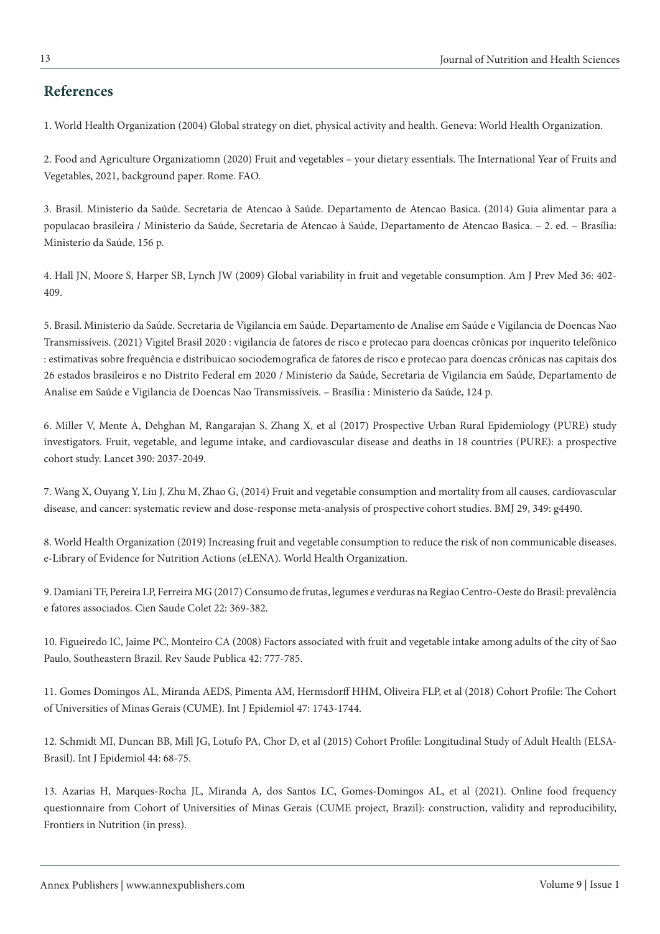## **References**

1. World Health Organization (2004) Global strategy on diet, physical activity and health. Geneva: World Health Organization.

2. Food and Agriculture Organizatiomn (2020) Fruit and vegetables – your dietary essentials. The International Year of Fruits and Vegetables, 2021, background paper. Rome. FAO.

3. Brasil. Ministerio da Saúde. Secretaria de Atencao à Saúde. Departamento de Atencao Basica. (2014) Guia alimentar para a populacao brasileira / Ministerio da Saúde, Secretaria de Atencao à Saúde, Departamento de Atencao Basica. – 2. ed. – Brasília: Ministerio da Saúde, 156 p.

4. Hall JN, Moore S, Harper SB, Lynch JW (2009) Global variability in fruit and vegetable consumption. Am J Prev Med 36: 402- 409.

5. Brasil. Ministerio da Saúde. Secretaria de Vigilancia em Saúde. Departamento de Analise em Saúde e Vigilancia de Doencas Nao Transmissíveis. (2021) Vigitel Brasil 2020 : vigilancia de fatores de risco e protecao para doencas crônicas por inquerito telefônico : estimativas sobre frequência e distribuicao sociodemografica de fatores de risco e protecao para doencas crônicas nas capitais dos 26 estados brasileiros e no Distrito Federal em 2020 / Ministerio da Saúde, Secretaria de Vigilancia em Saúde, Departamento de Analise em Saúde e Vigilancia de Doencas Nao Transmissíveis. – Brasília : Ministerio da Saúde, 124 p.

6. Miller V, Mente A, Dehghan M, Rangarajan S, Zhang X, et al (2017) Prospective Urban Rural Epidemiology (PURE) study investigators. Fruit, vegetable, and legume intake, and cardiovascular disease and deaths in 18 countries (PURE): a prospective cohort study. Lancet 390: 2037-2049.

7. Wang X, Ouyang Y, Liu J, Zhu M, Zhao G, (2014) Fruit and vegetable consumption and mortality from all causes, cardiovascular disease, and cancer: systematic review and dose-response meta-analysis of prospective cohort studies. BMJ 29, 349: g4490.

8. World Health Organization (2019) Increasing fruit and vegetable consumption to reduce the risk of non communicable diseases. e-Library of Evidence for Nutrition Actions (eLENA). World Health Organization.

9. Damiani TF, Pereira LP, Ferreira MG (2017) Consumo de frutas, legumes e verduras na Regiao Centro-Oeste do Brasil: prevalência e fatores associados. Cien Saude Colet 22: 369-382.

10. Figueiredo IC, Jaime PC, Monteiro CA (2008) Factors associated with fruit and vegetable intake among adults of the city of Sao Paulo, Southeastern Brazil. Rev Saude Publica 42: 777-785.

11. Gomes Domingos AL, Miranda AEDS, Pimenta AM, Hermsdorff HHM, Oliveira FLP, et al (2018) Cohort Profile: The Cohort of Universities of Minas Gerais (CUME). Int J Epidemiol 47: 1743-1744.

12. Schmidt MI, Duncan BB, Mill JG, Lotufo PA, Chor D, et al (2015) Cohort Profile: Longitudinal Study of Adult Health (ELSA-Brasil). Int J Epidemiol 44: 68-75.

13. Azarias H, Marques-Rocha JL, Miranda A, dos Santos LC, Gomes-Domingos AL, et al (2021). Online food frequency questionnaire from Cohort of Universities of Minas Gerais (CUME project, Brazil): construction, validity and reproducibility, Frontiers in Nutrition (in press).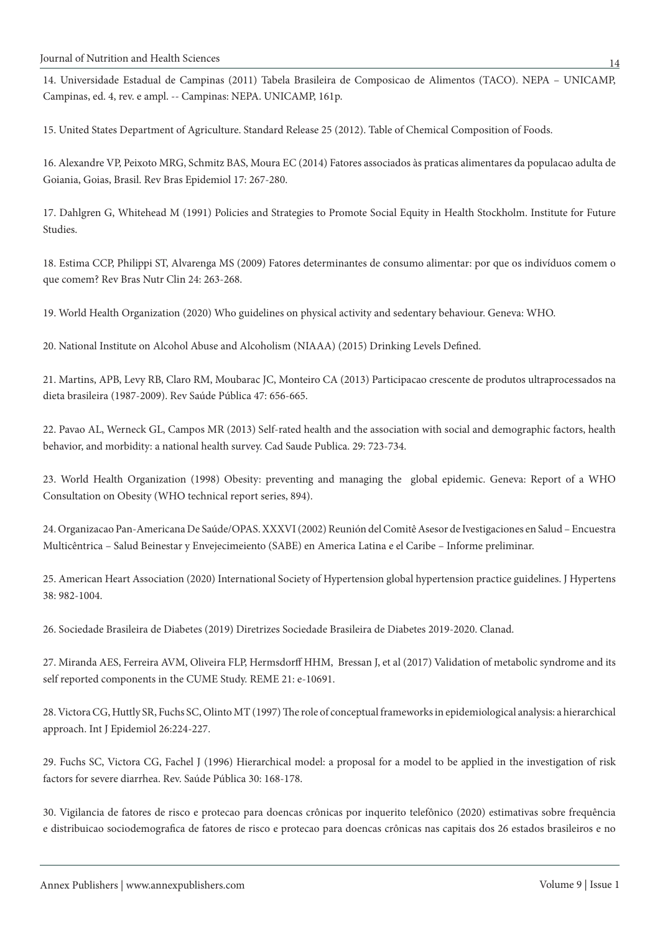14. Universidade Estadual de Campinas (2011) Tabela Brasileira de Composicao de Alimentos (TACO). NEPA – UNICAMP, Campinas, ed. 4, rev. e ampl. -- Campinas: NEPA. UNICAMP, 161p.

15. United States Department of Agriculture. Standard Release 25 (2012). Table of Chemical Composition of Foods.

16. Alexandre VP, Peixoto MRG, Schmitz BAS, Moura EC (2014) Fatores associados às praticas alimentares da populacao adulta de Goiania, Goias, Brasil. Rev Bras Epidemiol 17: 267-280.

17. Dahlgren G, Whitehead M (1991) Policies and Strategies to Promote Social Equity in Health Stockholm. Institute for Future Studies.

18. Estima CCP, Philippi ST, Alvarenga MS (2009) Fatores determinantes de consumo alimentar: por que os indivíduos comem o que comem? Rev Bras Nutr Clin 24: 263-268.

19. World Health Organization (2020) Who guidelines on physical activity and sedentary behaviour. Geneva: WHO.

20. National Institute on Alcohol Abuse and Alcoholism (NIAAA) (2015) Drinking Levels Defined.

21. Martins, APB, Levy RB, Claro RM, Moubarac JC, Monteiro CA (2013) Participacao crescente de produtos ultraprocessados na dieta brasileira (1987-2009). Rev Saúde Pública 47: 656-665.

22. Pavao AL, Werneck GL, Campos MR (2013) Self-rated health and the association with social and demographic factors, health behavior, and morbidity: a national health survey. Cad Saude Publica. 29: 723-734.

23. World Health Organization (1998) Obesity: preventing and managing the global epidemic. Geneva: Report of a WHO Consultation on Obesity (WHO technical report series, 894).

24. Organizacao Pan-Americana De Saúde/OPAS. XXXVI (2002) Reunión del Comitê Asesor de Ivestigaciones en Salud – Encuestra Multicêntrica – Salud Beinestar y Envejecimeiento (SABE) en America Latina e el Caribe – Informe preliminar.

25. American Heart Association (2020) International Society of Hypertension global hypertension practice guidelines. J Hypertens 38: 982-1004.

26. Sociedade Brasileira de Diabetes (2019) Diretrizes Sociedade Brasileira de Diabetes 2019-2020. Clanad.

27. Miranda AES, Ferreira AVM, Oliveira FLP, Hermsdorff HHM, Bressan J, et al (2017) Validation of metabolic syndrome and its self reported components in the CUME Study. REME 21: e-10691.

28. Victora CG, Huttly SR, Fuchs SC, Olinto MT (1997) The role of conceptual frameworks in epidemiological analysis: a hierarchical approach. Int J Epidemiol 26:224-227.

29. Fuchs SC, Victora CG, Fachel J (1996) Hierarchical model: a proposal for a model to be applied in the investigation of risk factors for severe diarrhea. Rev. Saúde Pública 30: 168-178.

30. Vigilancia de fatores de risco e protecao para doencas crônicas por inquerito telefônico (2020) estimativas sobre frequência e distribuicao sociodemografica de fatores de risco e protecao para doencas crônicas nas capitais dos 26 estados brasileiros e no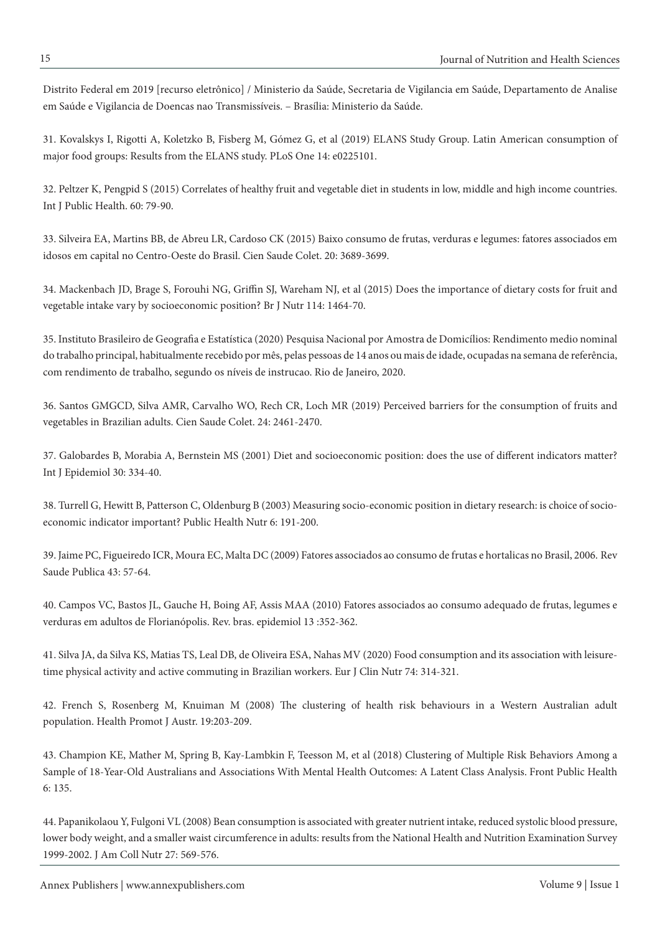Distrito Federal em 2019 [recurso eletrônico] / Ministerio da Saúde, Secretaria de Vigilancia em Saúde, Departamento de Analise em Saúde e Vigilancia de Doencas nao Transmissíveis. – Brasília: Ministerio da Saúde.

31. Kovalskys I, Rigotti A, Koletzko B, Fisberg M, Gómez G, et al (2019) ELANS Study Group. Latin American consumption of major food groups: Results from the ELANS study. PLoS One 14: e0225101.

32. Peltzer K, Pengpid S (2015) Correlates of healthy fruit and vegetable diet in students in low, middle and high income countries. Int J Public Health. 60: 79-90.

33. Silveira EA, Martins BB, de Abreu LR, Cardoso CK (2015) Baixo consumo de frutas, verduras e legumes: fatores associados em idosos em capital no Centro-Oeste do Brasil. Cien Saude Colet. 20: 3689-3699.

34. Mackenbach JD, Brage S, Forouhi NG, Griffin SJ, Wareham NJ, et al (2015) Does the importance of dietary costs for fruit and vegetable intake vary by socioeconomic position? Br J Nutr 114: 1464-70.

35. Instituto Brasileiro de Geografia e Estatística (2020) Pesquisa Nacional por Amostra de Domicílios: Rendimento medio nominal do trabalho principal, habitualmente recebido por mês, pelas pessoas de 14 anos ou mais de idade, ocupadas na semana de referência, com rendimento de trabalho, segundo os níveis de instrucao. Rio de Janeiro, 2020.

36. Santos GMGCD, Silva AMR, Carvalho WO, Rech CR, Loch MR (2019) Perceived barriers for the consumption of fruits and vegetables in Brazilian adults. Cien Saude Colet. 24: 2461-2470.

37. Galobardes B, Morabia A, Bernstein MS (2001) Diet and socioeconomic position: does the use of different indicators matter? Int J Epidemiol 30: 334-40.

38. Turrell G, Hewitt B, Patterson C, Oldenburg B (2003) Measuring socio-economic position in dietary research: is choice of socioeconomic indicator important? Public Health Nutr 6: 191-200.

39. Jaime PC, Figueiredo ICR, Moura EC, Malta DC (2009) Fatores associados ao consumo de frutas e hortalicas no Brasil, 2006. Rev Saude Publica 43: 57-64.

40. Campos VC, Bastos JL, Gauche H, Boing AF, Assis MAA (2010) Fatores associados ao consumo adequado de frutas, legumes e verduras em adultos de Florianópolis. Rev. bras. epidemiol 13 :352-362.

41. Silva JA, da Silva KS, Matias TS, Leal DB, de Oliveira ESA, Nahas MV (2020) Food consumption and its association with leisuretime physical activity and active commuting in Brazilian workers. Eur J Clin Nutr 74: 314-321.

42. French S, Rosenberg M, Knuiman M (2008) The clustering of health risk behaviours in a Western Australian adult population. Health Promot J Austr. 19:203-209.

43. Champion KE, Mather M, Spring B, Kay-Lambkin F, Teesson M, et al (2018) Clustering of Multiple Risk Behaviors Among a Sample of 18-Year-Old Australians and Associations With Mental Health Outcomes: A Latent Class Analysis. Front Public Health 6: 135.

44. Papanikolaou Y, Fulgoni VL (2008) Bean consumption is associated with greater nutrient intake, reduced systolic blood pressure, lower body weight, and a smaller waist circumference in adults: results from the National Health and Nutrition Examination Survey 1999-2002. J Am Coll Nutr 27: 569-576.